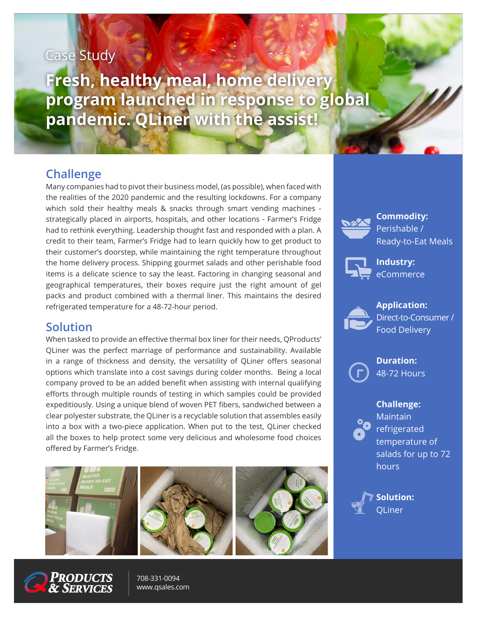# Case Study

**Fresh, healthy meal, home delivery program launched in response to global pandemic. QLiner with the assist!**

## **Challenge**

Many companies had to pivot their business model, (as possible), when faced with the realities of the 2020 pandemic and the resulting lockdowns. For a company which sold their healthy meals & snacks through smart vending machines strategically placed in airports, hospitals, and other locations - Farmer's Fridge had to rethink everything. Leadership thought fast and responded with a plan. A credit to their team, Farmer's Fridge had to learn quickly how to get product to their customer's doorstep, while maintaining the right temperature throughout the home delivery process. Shipping gourmet salads and other perishable food items is a delicate science to say the least. Factoring in changing seasonal and geographical temperatures, their boxes require just the right amount of gel packs and product combined with a thermal liner. This maintains the desired refrigerated temperature for a 48-72-hour period.

### **Solution**

When tasked to provide an effective thermal box liner for their needs, QProducts' QLiner was the perfect marriage of performance and sustainability. Available in a range of thickness and density, the versatility of QLiner offers seasonal options which translate into a cost savings during colder months. Being a local company proved to be an added benefit when assisting with internal qualifying efforts through multiple rounds of testing in which samples could be provided expeditiously. Using a unique blend of woven PET fibers, sandwiched between a clear polyester substrate, the QLiner is a recyclable solution that assembles easily into a box with a two-piece application. When put to the test, QLiner checked all the boxes to help protect some very delicious and wholesome food choices offered by Farmer's Fridge.





708-331-0094 [www.qsales.com](https://qsales.com/?utm_campaign=Corporate+Branding&utm_source=brochure&utm_medium=print)



**Commodity:** Perishable / Ready-to-Eat Meals



**Industry:** eCommerce



**Application:** Direct-to-Consumer / Food Delivery

**Duration:** 48-72 Hours

#### **Challenge:**

**Maintain** refrigerated temperature of salads for up to 72 hours